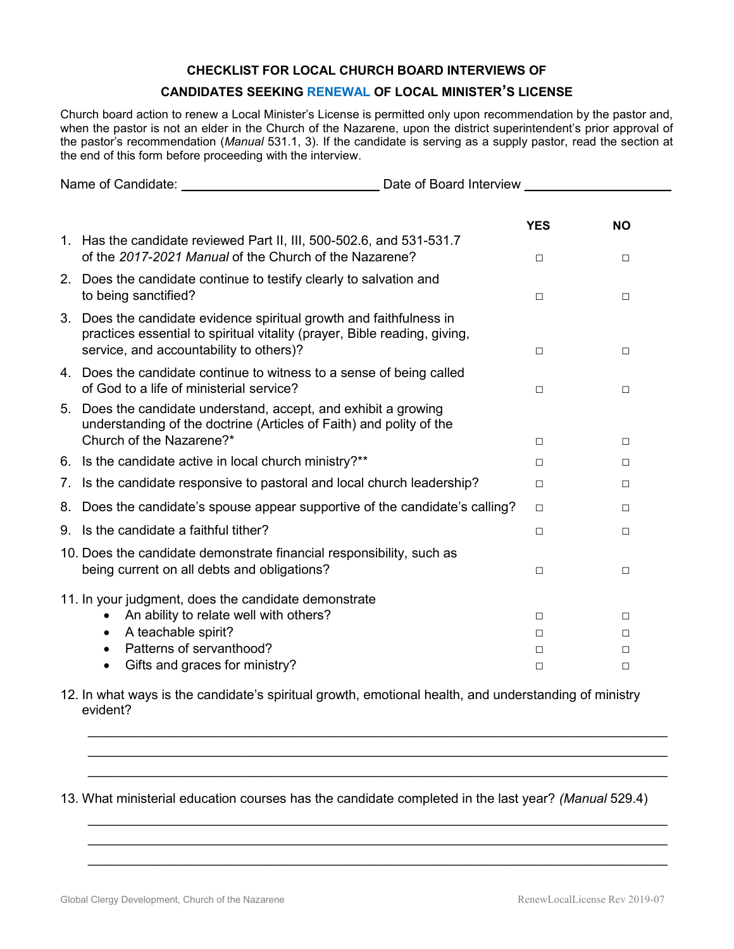## **CHECKLIST FOR LOCAL CHURCH BOARD INTERVIEWS OF**

## **CANDIDATES SEEKING RENEWAL OF LOCAL MINISTER'S LICENSE**

Church board action to renew a Local Minister's License is permitted only upon recommendation by the pastor and, when the pastor is not an elder in the Church of the Nazarene, upon the district superintendent's prior approval of the pastor's recommendation (*Manual* 531.1, 3). If the candidate is serving as a supply pastor, read the section at the end of this form before proceeding with the interview.

| Name of Candidate: Name of Candidate: |                                                                                                                                                                                          | Date of Board Interview |             |
|---------------------------------------|------------------------------------------------------------------------------------------------------------------------------------------------------------------------------------------|-------------------------|-------------|
|                                       |                                                                                                                                                                                          |                         |             |
|                                       |                                                                                                                                                                                          | <b>YES</b>              | <b>NO</b>   |
|                                       | 1. Has the candidate reviewed Part II, III, 500-502.6, and 531-531.7<br>of the 2017-2021 Manual of the Church of the Nazarene?                                                           | $\Box$                  | $\Box$      |
|                                       | 2. Does the candidate continue to testify clearly to salvation and<br>to being sanctified?                                                                                               | $\Box$                  | $\Box$      |
| 3.                                    | Does the candidate evidence spiritual growth and faithfulness in<br>practices essential to spiritual vitality (prayer, Bible reading, giving,<br>service, and accountability to others)? | $\Box$                  | $\Box$      |
|                                       | 4. Does the candidate continue to witness to a sense of being called<br>of God to a life of ministerial service?                                                                         | $\Box$                  | $\Box$      |
| 5.                                    | Does the candidate understand, accept, and exhibit a growing<br>understanding of the doctrine (Articles of Faith) and polity of the<br>Church of the Nazarene?*                          | $\Box$                  | $\Box$      |
|                                       | 6. Is the candidate active in local church ministry?**                                                                                                                                   | П                       | $\Box$      |
| 7.                                    | Is the candidate responsive to pastoral and local church leadership?                                                                                                                     | П                       | П           |
|                                       |                                                                                                                                                                                          |                         |             |
| 8.                                    | Does the candidate's spouse appear supportive of the candidate's calling?                                                                                                                | $\Box$                  | □           |
| 9.                                    | Is the candidate a faithful tither?                                                                                                                                                      | $\Box$                  | □           |
|                                       | 10. Does the candidate demonstrate financial responsibility, such as<br>being current on all debts and obligations?                                                                      | $\Box$                  | $\Box$      |
|                                       | 11. In your judgment, does the candidate demonstrate<br>An ability to relate well with others?<br>$\bullet$                                                                              | $\Box$                  | $\Box$      |
|                                       | A teachable spirit?<br>Patterns of servanthood?<br>$\bullet$                                                                                                                             | п<br>□                  | П<br>$\Box$ |
|                                       | Gifts and graces for ministry?<br>٠                                                                                                                                                      | □                       | $\Box$      |

12. In what ways is the candidate's spiritual growth, emotional health, and understanding of ministry evident?

\_\_\_\_\_\_\_\_\_\_\_\_\_\_\_\_\_\_\_\_\_\_\_\_\_\_\_\_\_\_\_\_\_\_\_\_\_\_\_\_\_\_\_\_\_\_\_\_\_\_\_\_\_\_\_\_\_\_\_\_\_\_\_\_\_\_\_\_\_\_\_\_\_\_\_\_\_\_\_ \_\_\_\_\_\_\_\_\_\_\_\_\_\_\_\_\_\_\_\_\_\_\_\_\_\_\_\_\_\_\_\_\_\_\_\_\_\_\_\_\_\_\_\_\_\_\_\_\_\_\_\_\_\_\_\_\_\_\_\_\_\_\_\_\_\_\_\_\_\_\_\_\_\_\_\_\_\_\_ \_\_\_\_\_\_\_\_\_\_\_\_\_\_\_\_\_\_\_\_\_\_\_\_\_\_\_\_\_\_\_\_\_\_\_\_\_\_\_\_\_\_\_\_\_\_\_\_\_\_\_\_\_\_\_\_\_\_\_\_\_\_\_\_\_\_\_\_\_\_\_\_\_\_\_\_\_\_\_

\_\_\_\_\_\_\_\_\_\_\_\_\_\_\_\_\_\_\_\_\_\_\_\_\_\_\_\_\_\_\_\_\_\_\_\_\_\_\_\_\_\_\_\_\_\_\_\_\_\_\_\_\_\_\_\_\_\_\_\_\_\_\_\_\_\_\_\_\_\_\_\_\_\_\_\_\_\_\_ \_\_\_\_\_\_\_\_\_\_\_\_\_\_\_\_\_\_\_\_\_\_\_\_\_\_\_\_\_\_\_\_\_\_\_\_\_\_\_\_\_\_\_\_\_\_\_\_\_\_\_\_\_\_\_\_\_\_\_\_\_\_\_\_\_\_\_\_\_\_\_\_\_\_\_\_\_\_\_ \_\_\_\_\_\_\_\_\_\_\_\_\_\_\_\_\_\_\_\_\_\_\_\_\_\_\_\_\_\_\_\_\_\_\_\_\_\_\_\_\_\_\_\_\_\_\_\_\_\_\_\_\_\_\_\_\_\_\_\_\_\_\_\_\_\_\_\_\_\_\_\_\_\_\_\_\_\_\_

13. What ministerial education courses has the candidate completed in the last year? *(Manual* 529.4)